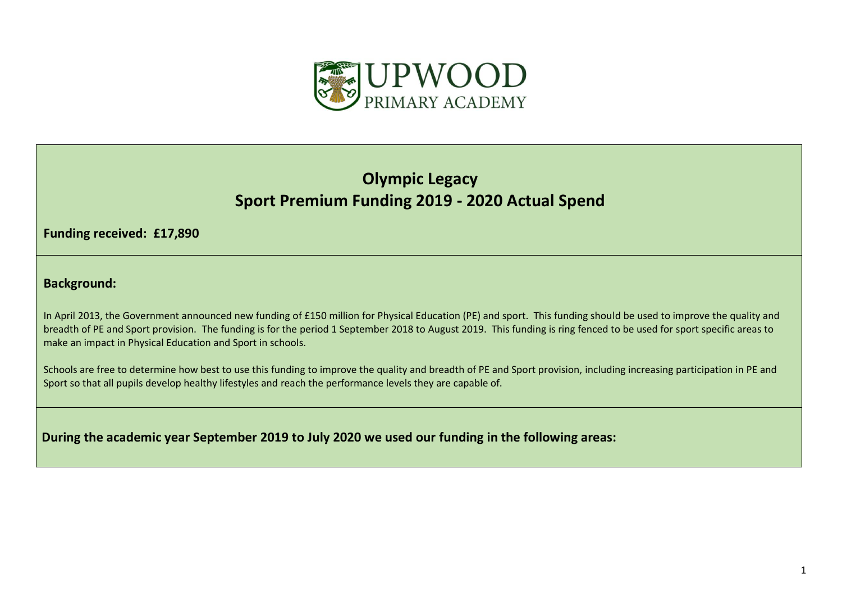

## **Olympic Legacy Sport Premium Funding 2019 - 2020 Actual Spend**

**Funding received: £17,890**

**Background:** 

In April 2013, the Government announced new funding of £150 million for Physical Education (PE) and sport. This funding should be used to improve the quality and breadth of PE and Sport provision. The funding is for the period 1 September 2018 to August 2019. This funding is ring fenced to be used for sport specific areas to make an impact in Physical Education and Sport in schools.

Schools are free to determine how best to use this funding to improve the quality and breadth of PE and Sport provision, including increasing participation in PE and Sport so that all pupils develop healthy lifestyles and reach the performance levels they are capable of.

**During the academic year September 2019 to July 2020 we used our funding in the following areas:**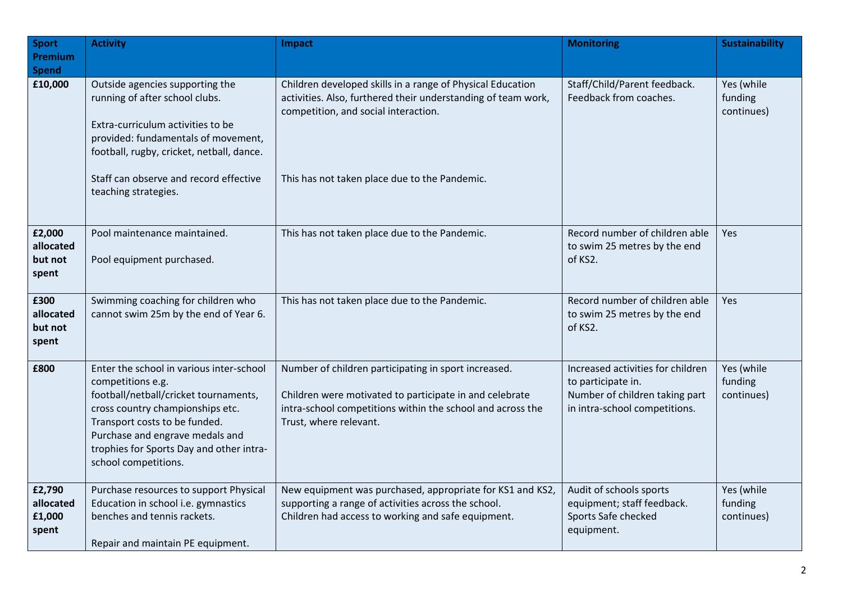| <b>Sport</b><br><b>Premium</b>          | <b>Activity</b>                                                                                                                                                                                                                                                                    | <b>Impact</b>                                                                                                                                                                                                        | <b>Monitoring</b>                                                                                                          | <b>Sustainability</b>               |
|-----------------------------------------|------------------------------------------------------------------------------------------------------------------------------------------------------------------------------------------------------------------------------------------------------------------------------------|----------------------------------------------------------------------------------------------------------------------------------------------------------------------------------------------------------------------|----------------------------------------------------------------------------------------------------------------------------|-------------------------------------|
| <b>Spend</b>                            |                                                                                                                                                                                                                                                                                    |                                                                                                                                                                                                                      |                                                                                                                            |                                     |
| £10,000                                 | Outside agencies supporting the<br>running of after school clubs.<br>Extra-curriculum activities to be<br>provided: fundamentals of movement,<br>football, rugby, cricket, netball, dance.<br>Staff can observe and record effective                                               | Children developed skills in a range of Physical Education<br>activities. Also, furthered their understanding of team work,<br>competition, and social interaction.<br>This has not taken place due to the Pandemic. | Staff/Child/Parent feedback.<br>Feedback from coaches.                                                                     | Yes (while<br>funding<br>continues) |
|                                         | teaching strategies.                                                                                                                                                                                                                                                               |                                                                                                                                                                                                                      |                                                                                                                            |                                     |
| £2,000<br>allocated<br>but not<br>spent | Pool maintenance maintained.<br>Pool equipment purchased.                                                                                                                                                                                                                          | This has not taken place due to the Pandemic.                                                                                                                                                                        | Record number of children able<br>to swim 25 metres by the end<br>of KS2.                                                  | Yes                                 |
| £300<br>allocated<br>but not<br>spent   | Swimming coaching for children who<br>cannot swim 25m by the end of Year 6.                                                                                                                                                                                                        | This has not taken place due to the Pandemic.                                                                                                                                                                        | Record number of children able<br>to swim 25 metres by the end<br>of KS2.                                                  | Yes                                 |
| £800                                    | Enter the school in various inter-school<br>competitions e.g.<br>football/netball/cricket tournaments,<br>cross country championships etc.<br>Transport costs to be funded.<br>Purchase and engrave medals and<br>trophies for Sports Day and other intra-<br>school competitions. | Number of children participating in sport increased.<br>Children were motivated to participate in and celebrate<br>intra-school competitions within the school and across the<br>Trust, where relevant.              | Increased activities for children<br>to participate in.<br>Number of children taking part<br>in intra-school competitions. | Yes (while<br>funding<br>continues) |
| £2,790<br>allocated<br>£1,000<br>spent  | Purchase resources to support Physical<br>Education in school i.e. gymnastics<br>benches and tennis rackets.<br>Repair and maintain PE equipment.                                                                                                                                  | New equipment was purchased, appropriate for KS1 and KS2,<br>supporting a range of activities across the school.<br>Children had access to working and safe equipment.                                               | Audit of schools sports<br>equipment; staff feedback.<br>Sports Safe checked<br>equipment.                                 | Yes (while<br>funding<br>continues) |